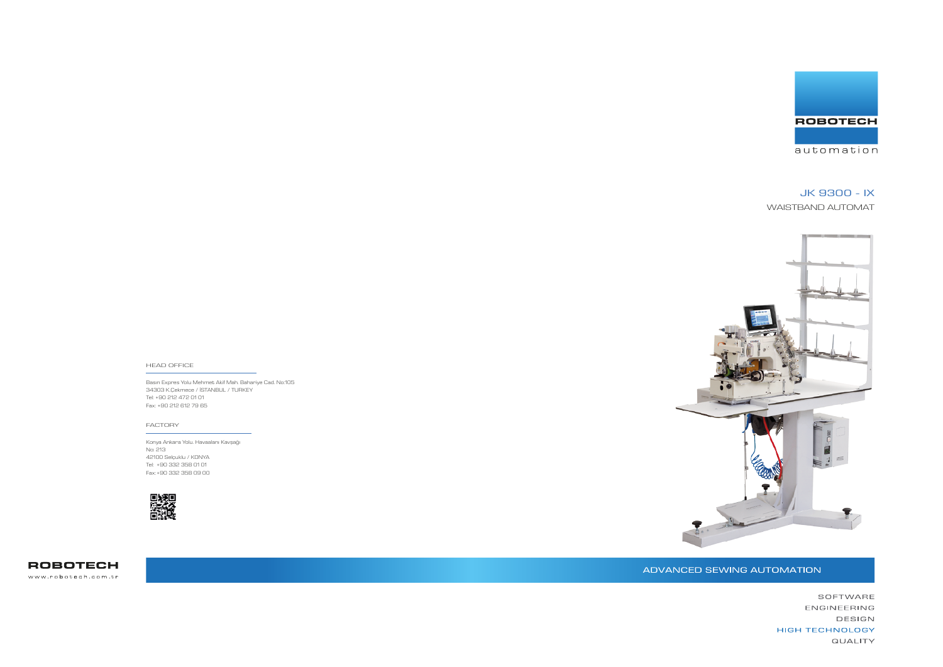Basın Expres Yolu Mehmet Akif Mah. Bahariye Cad. No:105 34303 K.Çekmece / İSTANBUL / TURKEY Tel: +90 212 472 01 01 Fax: +90 212 612 79 65

### HEAD OFFICE

Konya Ankara Yolu. Havaalanı Kavşağı No: 213 42100 Selçuklu / KONYA Tel: +90 332 358 01 01 Fax: +90 332 358 09 00



**ROBOTECH** www.robotech.com.tr



ADVANCED SEWING AUTOMATION



### FACTORY

# JK 9300 - IX

WAISTBAND AUTOMAT



SOFTWARE ENGINEERING DESIGN **HIGH TECHNOLOGY QUALITY**